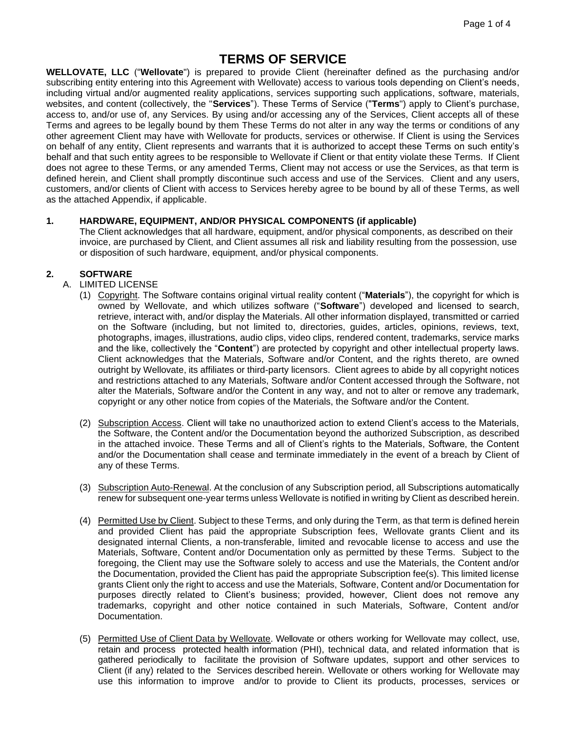# **TERMS OF SERVICE**

**WELLOVATE, LLC** ("**Wellovate**") is prepared to provide Client (hereinafter defined as the purchasing and/or subscribing entity entering into this Agreement with Wellovate) access to various tools depending on Client's needs, including virtual and/or augmented reality applications, services supporting such applications, software, materials, websites, and content (collectively, the "**Services**"). These Terms of Service ("**Terms**") apply to Client's purchase, access to, and/or use of, any Services. By using and/or accessing any of the Services, Client accepts all of these Terms and agrees to be legally bound by them These Terms do not alter in any way the terms or conditions of any other agreement Client may have with Wellovate for products, services or otherwise. If Client is using the Services on behalf of any entity, Client represents and warrants that it is authorized to accept these Terms on such entity's behalf and that such entity agrees to be responsible to Wellovate if Client or that entity violate these Terms. If Client does not agree to these Terms, or any amended Terms, Client may not access or use the Services, as that term is defined herein, and Client shall promptly discontinue such access and use of the Services. Client and any users, customers, and/or clients of Client with access to Services hereby agree to be bound by all of these Terms, as well as the attached Appendix, if applicable.

## **1. HARDWARE, EQUIPMENT, AND/OR PHYSICAL COMPONENTS (if applicable)**

The Client acknowledges that all hardware, equipment, and/or physical components, as described on their invoice, are purchased by Client, and Client assumes all risk and liability resulting from the possession, use or disposition of such hardware, equipment, and/or physical components.

# **2. SOFTWARE**

- A. LIMITED LICENSE
	- (1) Copyright. The Software contains original virtual reality content ("**Materials**"), the copyright for which is owned by Wellovate, and which utilizes software ("**Software**") developed and licensed to search, retrieve, interact with, and/or display the Materials. All other information displayed, transmitted or carried on the Software (including, but not limited to, directories, guides, articles, opinions, reviews, text, photographs, images, illustrations, audio clips, video clips, rendered content, trademarks, service marks and the like, collectively the "**Content**") are protected by copyright and other intellectual property laws. Client acknowledges that the Materials, Software and/or Content, and the rights thereto, are owned outright by Wellovate, its affiliates or third-party licensors. Client agrees to abide by all copyright notices and restrictions attached to any Materials, Software and/or Content accessed through the Software, not alter the Materials, Software and/or the Content in any way, and not to alter or remove any trademark, copyright or any other notice from copies of the Materials, the Software and/or the Content.
	- (2) Subscription Access. Client will take no unauthorized action to extend Client's access to the Materials, the Software, the Content and/or the Documentation beyond the authorized Subscription, as described in the attached invoice. These Terms and all of Client's rights to the Materials, Software, the Content and/or the Documentation shall cease and terminate immediately in the event of a breach by Client of any of these Terms.
	- (3) Subscription Auto-Renewal. At the conclusion of any Subscription period, all Subscriptions automatically renew for subsequent one-year terms unless Wellovate is notified in writing by Client as described herein.
	- (4) Permitted Use by Client. Subject to these Terms, and only during the Term, as that term is defined herein and provided Client has paid the appropriate Subscription fees, Wellovate grants Client and its designated internal Clients, a non-transferable, limited and revocable license to access and use the Materials, Software, Content and/or Documentation only as permitted by these Terms. Subject to the foregoing, the Client may use the Software solely to access and use the Materials, the Content and/or the Documentation, provided the Client has paid the appropriate Subscription fee(s). This limited license grants Client only the right to access and use the Materials, Software, Content and/or Documentation for purposes directly related to Client's business; provided, however, Client does not remove any trademarks, copyright and other notice contained in such Materials, Software, Content and/or Documentation.
	- (5) Permitted Use of Client Data by Wellovate. Wellovate or others working for Wellovate may collect, use, retain and process protected health information (PHI), technical data, and related information that is gathered periodically to facilitate the provision of Software updates, support and other services to Client (if any) related to the Services described herein. Wellovate or others working for Wellovate may use this information to improve and/or to provide to Client its products, processes, services or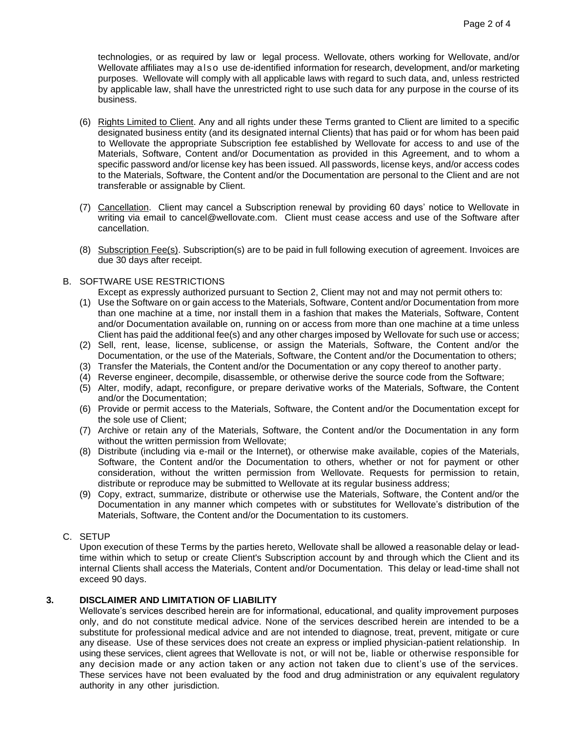technologies, or as required by law or legal process. Wellovate, others working for Wellovate, and/or Wellovate affiliates may a ls o use de-identified information for research, development, and/or marketing purposes. Wellovate will comply with all applicable laws with regard to such data, and, unless restricted by applicable law, shall have the unrestricted right to use such data for any purpose in the course of its business.

- (6) Rights Limited to Client. Any and all rights under these Terms granted to Client are limited to a specific designated business entity (and its designated internal Clients) that has paid or for whom has been paid to Wellovate the appropriate Subscription fee established by Wellovate for access to and use of the Materials, Software, Content and/or Documentation as provided in this Agreement, and to whom a specific password and/or license key has been issued. All passwords, license keys, and/or access codes to the Materials, Software, the Content and/or the Documentation are personal to the Client and are not transferable or assignable by Client.
- (7) Cancellation. Client may cancel a Subscription renewal by providing 60 days' notice to Wellovate in writing via email to cancel@wellovate.com. Client must cease access and use of the Software after cancellation.
- (8) Subscription Fee(s). Subscription(s) are to be paid in full following execution of agreement. Invoices are due 30 days after receipt.
- B. SOFTWARE USE RESTRICTIONS

Except as expressly authorized pursuant to Section 2, Client may not and may not permit others to:

- (1) Use the Software on or gain access to the Materials, Software, Content and/or Documentation from more than one machine at a time, nor install them in a fashion that makes the Materials, Software, Content and/or Documentation available on, running on or access from more than one machine at a time unless Client has paid the additional fee(s) and any other charges imposed by Wellovate for such use or access;
- (2) Sell, rent, lease, license, sublicense, or assign the Materials, Software, the Content and/or the Documentation, or the use of the Materials, Software, the Content and/or the Documentation to others;
- (3) Transfer the Materials, the Content and/or the Documentation or any copy thereof to another party.
- (4) Reverse engineer, decompile, disassemble, or otherwise derive the source code from the Software;
- (5) Alter, modify, adapt, reconfigure, or prepare derivative works of the Materials, Software, the Content and/or the Documentation;
- (6) Provide or permit access to the Materials, Software, the Content and/or the Documentation except for the sole use of Client;
- (7) Archive or retain any of the Materials, Software, the Content and/or the Documentation in any form without the written permission from Wellovate;
- (8) Distribute (including via e-mail or the Internet), or otherwise make available, copies of the Materials, Software, the Content and/or the Documentation to others, whether or not for payment or other consideration, without the written permission from Wellovate. Requests for permission to retain, distribute or reproduce may be submitted to Wellovate at its regular business address;
- (9) Copy, extract, summarize, distribute or otherwise use the Materials, Software, the Content and/or the Documentation in any manner which competes with or substitutes for Wellovate's distribution of the Materials, Software, the Content and/or the Documentation to its customers.

## C. SETUP

Upon execution of these Terms by the parties hereto, Wellovate shall be allowed a reasonable delay or leadtime within which to setup or create Client's Subscription account by and through which the Client and its internal Clients shall access the Materials, Content and/or Documentation. This delay or lead-time shall not exceed 90 days.

#### **3. DISCLAIMER AND LIMITATION OF LIABILITY**

Wellovate's services described herein are for informational, educational, and quality improvement purposes only, and do not constitute medical advice. None of the services described herein are intended to be a substitute for professional medical advice and are not intended to diagnose, treat, prevent, mitigate or cure any disease. Use of these services does not create an express or implied physician-patient relationship. In using these services, client agrees that Wellovate is not, or will not be, liable or otherwise responsible for any decision made or any action taken or any action not taken due to client's use of the services. These services have not been evaluated by the food and drug administration or any equivalent regulatory authority in any other jurisdiction.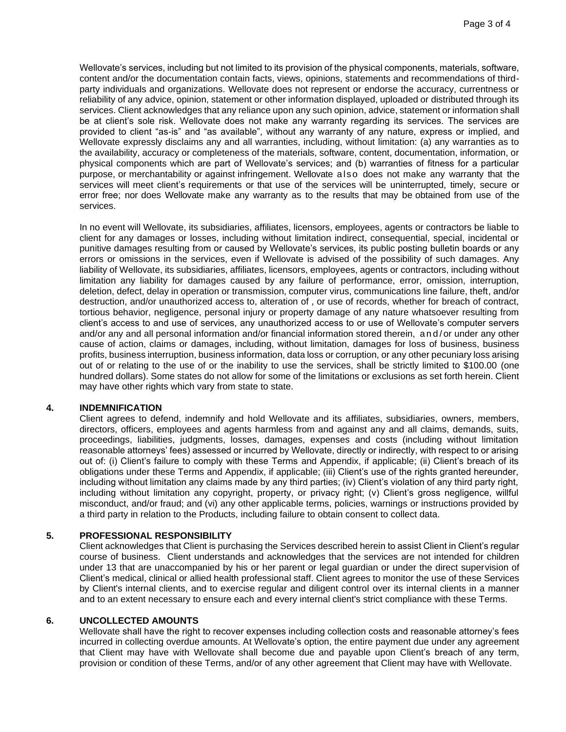Wellovate's services, including but not limited to its provision of the physical components, materials, software, content and/or the documentation contain facts, views, opinions, statements and recommendations of thirdparty individuals and organizations. Wellovate does not represent or endorse the accuracy, currentness or reliability of any advice, opinion, statement or other information displayed, uploaded or distributed through its services. Client acknowledges that any reliance upon any such opinion, advice, statement or information shall be at client's sole risk. Wellovate does not make any warranty regarding its services. The services are provided to client "as-is" and "as available", without any warranty of any nature, express or implied, and Wellovate expressly disclaims any and all warranties, including, without limitation: (a) any warranties as to the availability, accuracy or completeness of the materials, software, content, documentation, information, or physical components which are part of Wellovate's services; and (b) warranties of fitness for a particular purpose, or merchantability or against infringement. Wellovate a lso does not make any warranty that the services will meet client's requirements or that use of the services will be uninterrupted, timely, secure or error free; nor does Wellovate make any warranty as to the results that may be obtained from use of the services.

In no event will Wellovate, its subsidiaries, affiliates, licensors, employees, agents or contractors be liable to client for any damages or losses, including without limitation indirect, consequential, special, incidental or punitive damages resulting from or caused by Wellovate's services, its public posting bulletin boards or any errors or omissions in the services, even if Wellovate is advised of the possibility of such damages. Any liability of Wellovate, its subsidiaries, affiliates, licensors, employees, agents or contractors, including without limitation any liability for damages caused by any failure of performance, error, omission, interruption, deletion, defect, delay in operation or transmission, computer virus, communications line failure, theft, and/or destruction, and/or unauthorized access to, alteration of , or use of records, whether for breach of contract, tortious behavior, negligence, personal injury or property damage of any nature whatsoever resulting from client's access to and use of services, any unauthorized access to or use of Wellovate's computer servers and/or any and all personal information and/or financial information stored therein, and/ or under any other cause of action, claims or damages, including, without limitation, damages for loss of business, business profits, business interruption, business information, data loss or corruption, or any other pecuniary loss arising out of or relating to the use of or the inability to use the services, shall be strictly limited to \$100.00 (one hundred dollars). Some states do not allow for some of the limitations or exclusions as set forth herein. Client may have other rights which vary from state to state.

#### **4. INDEMNIFICATION**

Client agrees to defend, indemnify and hold Wellovate and its affiliates, subsidiaries, owners, members, directors, officers, employees and agents harmless from and against any and all claims, demands, suits, proceedings, liabilities, judgments, losses, damages, expenses and costs (including without limitation reasonable attorneys' fees) assessed or incurred by Wellovate, directly or indirectly, with respect to or arising out of: (i) Client's failure to comply with these Terms and Appendix, if applicable; (ii) Client's breach of its obligations under these Terms and Appendix, if applicable; (iii) Client's use of the rights granted hereunder, including without limitation any claims made by any third parties; (iv) Client's violation of any third party right, including without limitation any copyright, property, or privacy right; (v) Client's gross negligence, willful misconduct, and/or fraud; and (vi) any other applicable terms, policies, warnings or instructions provided by a third party in relation to the Products, [including failure to obtain consen](https://www.oculusforbusiness.com/)t to collect data.

#### **5. PROFESSIONAL RESPONSIBILITY**

Client acknowledges that Client is purchasing the Services described herein to assist Client in Client's regular course of business. Client understands and acknowledges that the services are not intended for children under 13 that are unaccompanied by his or her parent or legal guardian or under the direct supervision of Client's medical, clinical or allied health professional staff. Client agrees to monitor the use of these Services by Client's internal clients, and to exercise regular and diligent control over its internal clients in a manner and to an extent necessary to ensure each and every internal client's strict compliance with these Terms.

#### **6. UNCOLLECTED AMOUNTS**

Wellovate shall have the right to recover expenses including collection costs and reasonable attorney's fees incurred in collecting overdue amounts. At Wellovate's option, the entire payment due under any agreement that Client may have with Wellovate shall become due and payable upon Client's breach of any term, provision or condition of these Terms, and/or of any other agreement that Client may have with Wellovate.